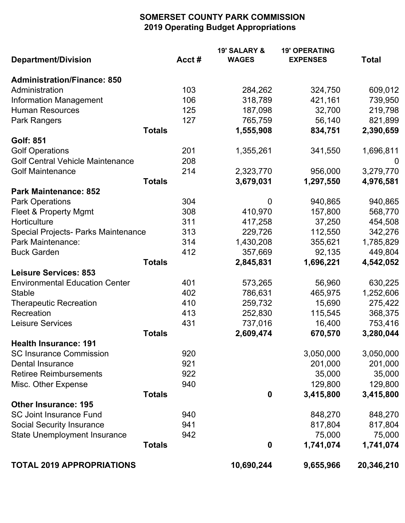## **SOMERSET COUNTY PARK COMMISSION 2019 Operating Budget Appropriations**

|                                            |               | <b>19' SALARY &amp;</b> | <b>19' OPERATING</b> |                |
|--------------------------------------------|---------------|-------------------------|----------------------|----------------|
| <b>Department/Division</b>                 | Acct#         | <b>WAGES</b>            | <b>EXPENSES</b>      | <b>Total</b>   |
| <b>Administration/Finance: 850</b>         |               |                         |                      |                |
| Administration                             | 103           | 284,262                 | 324,750              | 609,012        |
| <b>Information Management</b>              | 106           | 318,789                 | 421,161              | 739,950        |
| <b>Human Resources</b>                     | 125           | 187,098                 | 32,700               | 219,798        |
| Park Rangers                               | 127           | 765,759                 | 56,140               | 821,899        |
|                                            | <b>Totals</b> | 1,555,908               | 834,751              | 2,390,659      |
| <b>Golf: 851</b>                           |               |                         |                      |                |
| <b>Golf Operations</b>                     | 201           | 1,355,261               | 341,550              | 1,696,811      |
| <b>Golf Central Vehicle Maintenance</b>    | 208           |                         |                      | $\overline{0}$ |
| <b>Golf Maintenance</b>                    | 214           | 2,323,770               | 956,000              | 3,279,770      |
|                                            | <b>Totals</b> | 3,679,031               | 1,297,550            | 4,976,581      |
| <b>Park Maintenance: 852</b>               |               |                         |                      |                |
| <b>Park Operations</b>                     | 304           | $\overline{0}$          | 940,865              | 940,865        |
| Fleet & Property Mgmt                      | 308           | 410,970                 | 157,800              | 568,770        |
| Horticulture                               | 311           | 417,258                 | 37,250               | 454,508        |
| <b>Special Projects- Parks Maintenance</b> | 313           | 229,726                 | 112,550              | 342,276        |
| Park Maintenance:                          | 314           | 1,430,208               | 355,621              | 1,785,829      |
| <b>Buck Garden</b>                         | 412           | 357,669                 | 92,135               | 449,804        |
|                                            | <b>Totals</b> | 2,845,831               | 1,696,221            | 4,542,052      |
| <b>Leisure Services: 853</b>               |               |                         |                      |                |
| <b>Environmental Education Center</b>      | 401           | 573,265                 | 56,960               | 630,225        |
| <b>Stable</b>                              | 402           | 786,631                 | 465,975              | 1,252,606      |
| <b>Therapeutic Recreation</b>              | 410           | 259,732                 | 15,690               | 275,422        |
| Recreation                                 | 413           | 252,830                 | 115,545              | 368,375        |
| Leisure Services                           | 431           | 737,016                 | 16,400               | 753,416        |
|                                            | <b>Totals</b> | 2,609,474               | 670,570              | 3,280,044      |
| <b>Health Insurance: 191</b>               |               |                         |                      |                |
| <b>SC Insurance Commission</b>             | 920           |                         | 3,050,000            | 3,050,000      |
| <b>Dental Insurance</b>                    | 921           |                         | 201,000              | 201,000        |
| <b>Retiree Reimbursements</b>              | 922           |                         | 35,000               | 35,000         |
| Misc. Other Expense                        | 940           |                         | 129,800              | 129,800        |
|                                            | <b>Totals</b> | $\mathbf 0$             | 3,415,800            | 3,415,800      |
| <b>Other Insurance: 195</b>                |               |                         |                      |                |
| <b>SC Joint Insurance Fund</b>             | 940           |                         | 848,270              | 848,270        |
| <b>Social Security Insurance</b>           | 941           |                         | 817,804              | 817,804        |
| <b>State Unemployment Insurance</b>        | 942           |                         | 75,000               | 75,000         |
|                                            | <b>Totals</b> | $\boldsymbol{0}$        | 1,741,074            | 1,741,074      |
| <b>TOTAL 2019 APPROPRIATIONS</b>           |               | 10,690,244              | 9,655,966            | 20,346,210     |